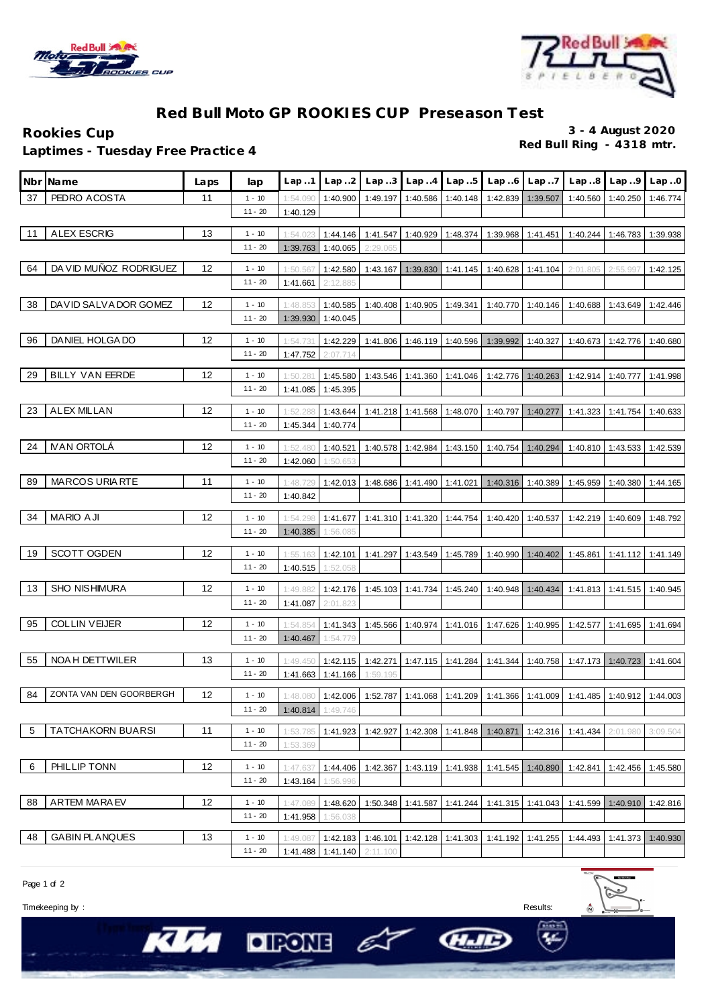



## **Red Bull Moto GP ROOKIES CUP Preseason Test**

**Red Bull Ring - 4318 mtr. Laptimes - Tuesday Free Practice 4**

**Rookies Cup 3 - 4 August 2020**

|    | Nbr Name                 | Laps | lap                   | Lap.1                | Lap.2                | Lap.3    | Lap.4                        | Lap.5    | Lap.6                                                                                 | Lap.7             | Lap.8                          | Lap.9                        | Lap.0    |
|----|--------------------------|------|-----------------------|----------------------|----------------------|----------|------------------------------|----------|---------------------------------------------------------------------------------------|-------------------|--------------------------------|------------------------------|----------|
| 37 | PEDRO ACOSTA             | 11   | $1 - 10$              | 1:54.090             | 1:40.900             | 1:49.197 | 1:40.586                     | 1:40.148 | 1:42.839                                                                              | 1:39.507          | 1:40.560                       | 1:40.250                     | 1:46.774 |
|    |                          |      | $11 - 20$             | 1:40.129             |                      |          |                              |          |                                                                                       |                   |                                |                              |          |
| 11 | <b>ALEX ESCRIG</b>       | 13   | $1 - 10$              | 1:54.023             | 1:44.146             |          | 1:41.547 1:40.929 1:48.374   |          | 1:39.968                                                                              | 1:41.451          | 1:40.244                       | 1:46.783                     | 1:39.938 |
|    |                          |      | $11 - 20$             | 1:39.763             | 1:40.065             | 2:29.065 |                              |          |                                                                                       |                   |                                |                              |          |
| 64 | DA VID MUÑOZ RODRIGUEZ   | 12   | $1 - 10$              |                      |                      |          |                              |          |                                                                                       |                   |                                |                              |          |
|    |                          |      | $11 - 20$             | 1:50.567<br>1:41.661 | 1:42.580<br>2:12.885 | 1:43.167 | 1:39.830                     | 1:41.145 | 1:40.628                                                                              | 1:41.104          | 2:01.805                       | 2:55.99                      | 1:42.125 |
|    |                          |      |                       |                      |                      |          |                              |          |                                                                                       |                   |                                |                              |          |
| 38 | DAVID SALVA DOR GOMEZ    | 12   | $1 - 10$<br>$11 - 20$ | 1:48.853             | 1:40.585             | 1:40.408 | 1:40.905                     | 1:49.341 | 1:40.770                                                                              | 1:40.146          | 1:40.688                       | 1:43.649                     | 1:42.446 |
|    |                          |      |                       | 1:39.930             | 1:40.045             |          |                              |          |                                                                                       |                   |                                |                              |          |
| 96 | DANIEL HOLGA DO          | 12   | $1 - 10$              | 1:54.731             | 1:42.229             |          | 1:41.806 1:46.119            | 1:40.596 | 1:39.992                                                                              | 1:40.327          | 1:40.673                       | 1:42.776                     | 1:40.680 |
|    |                          |      | $11 - 20$             | 1:47.752             | 2:07.714             |          |                              |          |                                                                                       |                   |                                |                              |          |
| 29 | <b>BILLY VAN EERDE</b>   | 12   | $1 - 10$              | 1:50.281             | 1:45.580             | 1:43.546 | 1:41.360                     | 1:41.046 | 1:42.776 1:40.263                                                                     |                   | 1:42.914                       | 1:40.777                     | 1:41.998 |
|    |                          |      | $11 - 20$             | 1:41.085             | 1:45.395             |          |                              |          |                                                                                       |                   |                                |                              |          |
| 23 | <b>ALEX MILLAN</b>       | 12   | $1 - 10$              | 1:52.288             | 1:43.644             |          | 1:41.218  1:41.568  1:48.070 |          | 1:40.797                                                                              | 1:40.277          | 1:41.323                       | 1:41.754                     | 1:40.633 |
|    |                          |      | $11 - 20$             | 1:45.344             | 1:40.774             |          |                              |          |                                                                                       |                   |                                |                              |          |
|    | <b>IVAN ORTOLÁ</b>       | 12   |                       |                      |                      |          |                              |          |                                                                                       |                   |                                |                              |          |
| 24 |                          |      | $1 - 10$<br>$11 - 20$ | 1:52.480<br>1:42.060 | 1:40.521<br>1:50.653 | 1:40.578 | 1:42.984                     | 1:43.150 | 1:40.754                                                                              | 1:40.294          | 1:40.810                       | 1:43.533                     | 1:42.539 |
|    |                          |      |                       |                      |                      |          |                              |          |                                                                                       |                   |                                |                              |          |
| 89 | <b>MARCOS URIA RTE</b>   | 11   | $1 - 10$              | 1:48.729             |                      |          |                              |          | 1:42.013   1:48.686   1:41.490   1:41.021   1:40.316   1:40.389                       |                   | 1:45.959                       | 1:40.380                     | 1:44.165 |
|    |                          |      | $11 - 20$             | 1:40.842             |                      |          |                              |          |                                                                                       |                   |                                |                              |          |
| 34 | <b>MARIO AJI</b>         | 12   | $1 - 10$              | 1:54.298             | 1:41.677             |          | 1:41.310 1:41.320 1:44.754   |          | 1:40.420 1:40.537                                                                     |                   |                                | 1:42.219 1:40.609            | 1:48.792 |
|    |                          |      | $11 - 20$             | 1:40.385             | 1:56.085             |          |                              |          |                                                                                       |                   |                                |                              |          |
| 19 | SCOTT OGDEN              | 12   | $1 - 10$              | 1:55.163             | 1:42.101             |          | 1:41.297  1:43.549  1:45.789 |          |                                                                                       | 1:40.990 1:40.402 |                                | 1:45.861  1:41.112  1:41.149 |          |
|    |                          |      | $11 - 20$             | 1:40.515             | 1:52.058             |          |                              |          |                                                                                       |                   |                                |                              |          |
| 13 | <b>SHO NISHIMURA</b>     | 12   | $1 - 10$              | 1:49.882             | 1:42.176             |          | 1:45.103 1:41.734            | 1:45.240 | 1:40.948 1:40.434                                                                     |                   |                                | 1:41.813 1:41.515            | 1:40.945 |
|    |                          |      | $11 - 20$             | 1:41.087             | 2:01.823             |          |                              |          |                                                                                       |                   |                                |                              |          |
|    |                          |      |                       |                      |                      |          |                              |          |                                                                                       |                   |                                |                              |          |
| 95 | <b>COLLIN VEIJER</b>     | 12   | $1 - 10$              | 1:54.854             | 1:41.343             |          |                              |          | 1:45.566   1:40.974   1:41.016   1:47.626   1:40.995                                  |                   | 1:42.577   1:41.695   1:41.694 |                              |          |
|    |                          |      | $11 - 20$             | 1:40.467             | 1:54.779             |          |                              |          |                                                                                       |                   |                                |                              |          |
| 55 | NOA H DETTWILER          | 13   | $1 - 10$              | 1:49.450             | 1:42.115             |          |                              |          | 1:42.271   1:47.115   1:41.284   1:41.344   1:40.758   1:47.173   1:40.723            |                   |                                |                              | 1:41.604 |
|    |                          |      | $11 - 20$             | 1:41.663             | 1:41.166             | 1:59.195 |                              |          |                                                                                       |                   |                                |                              |          |
| 84 | ZONTA VAN DEN GOORBERGH  | 12   | $1 - 10$              | 1:48.080             | 1:42.006             |          |                              |          | 1:52.787   1:41.068   1:41.209   1:41.366   1:41.009   1:41.485   1:40.912   1:44.003 |                   |                                |                              |          |
|    |                          |      | $11 - 20$             | 1:40.814             | 1:49.746             |          |                              |          |                                                                                       |                   |                                |                              |          |
| 5  | <b>TATCHAKORN BUARSI</b> | 11   | $1 - 10$              | 1:53.785             | 1:41.923             | 1:42.927 | 1:42.308                     | 1:41.848 | 1:40.871                                                                              | 1:42.316          | 1:41.434                       | 2:01.980                     | 3:09.504 |
|    |                          |      | $11 - 20$             | 1:53.369             |                      |          |                              |          |                                                                                       |                   |                                |                              |          |
|    |                          |      |                       |                      |                      |          |                              |          |                                                                                       |                   |                                |                              |          |
| 6  | PHILLIP TONN             | 12   | $1 - 10$              | 1:47.637             | 1:44.406             | 1:42.367 | 1:43.119                     | 1:41.938 | 1:41.545                                                                              | 1:40.890          | 1:42.841                       | 1:42.456                     | 1:45.580 |
|    |                          |      | $11 - 20$             | 1:43.164             | 1:56.996             |          |                              |          |                                                                                       |                   |                                |                              |          |
| 88 | <b>ARTEM MARAEV</b>      | 12   | $1 - 10$              | 1:47.089             | 1:48.620             | 1:50.348 | 1:41.587                     | 1:41.244 | 1:41.315 1:41.043                                                                     |                   | 1:41.599                       | 1:40.910                     | 1:42.816 |
|    |                          |      | $11 - 20$             | 1:41.958             | 1:56.038             |          |                              |          |                                                                                       |                   |                                |                              |          |
| 48 | <b>GABIN PLANQUES</b>    | 13   | $1 - 10$              | 1:49.08              | 1:42.183             |          | 1:46.101 1:42.128            | 1:41.303 | 1:41.192                                                                              | 1:41.255          | 1:44.493                       | 1:41.373                     | 1:40.930 |
|    |                          |      | $11 - 20$             | 1:41.488             | 1:41.140             | 2:11.100 |                              |          |                                                                                       |                   |                                |                              |          |

Page 1 of 2

Timekeeping by : Results: Results: Results: Results: Results: Results: Results: Results: Results: Results: Results: Results: Results: Results: Results: Results: Results: Results: Results: Results: Results: Results: Results

**HAD** 



KW DRONE